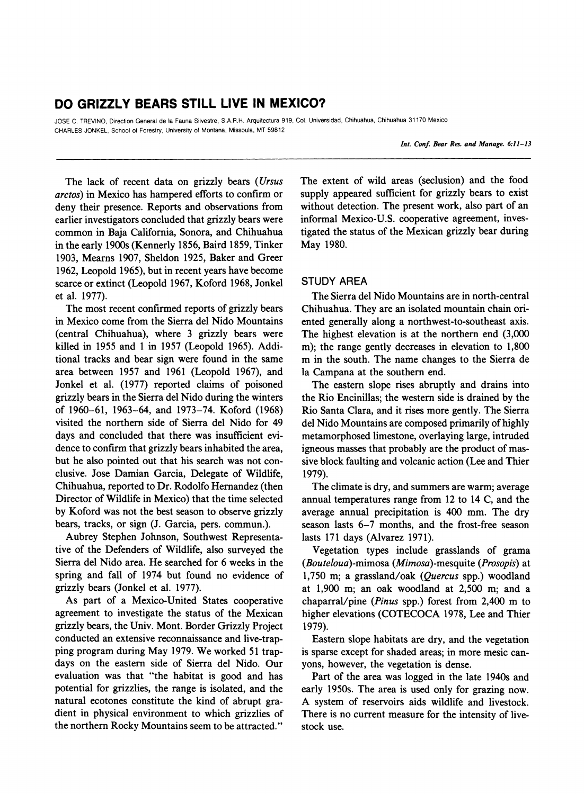# **DO GRIZZLY BEARS STILL LIVE IN MEXICO?**

**JOSE C. TREVINO, Direction General de la Fauna Silvestre, S.A.R.H. Arquitectura 919, Col. Universidad, Chihuahua, Chihuahua 31170 Mexico CHARLES JONKEL, School of Forestry, University of Montana, Missoula, MT 59812** 

**Int. Conf. Bear Res. and Manage. 6:11-13** 

**The lack of recent data on grizzly bears (Ursus arctos) in Mexico has hampered efforts to confirm or deny their presence. Reports and observations from earlier investigators concluded that grizzly bears were common in Baja California, Sonora, and Chihuahua in the early 1900s (Kennerly 1856, Baird 1859, Tinker 1903, Mearns 1907, Sheldon 1925, Baker and Greer 1962, Leopold 1965), but in recent years have become scarce or extinct (Leopold 1967, Koford 1968, Jonkel et al. 1977).** 

**The most recent confirmed reports of grizzly bears in Mexico come from the Sierra del Nido Mountains (central Chihuahua), where 3 grizzly bears were killed in 1955 and 1 in 1957 (Leopold 1965). Additional tracks and bear sign were found in the same area between 1957 and 1961 (Leopold 1967), and Jonkel et al. (1977) reported claims of poisoned grizzly bears in the Sierra del Nido during the winters of 1960-61, 1963-64, and 1973-74. Koford (1968) visited the northern side of Sierra del Nido for 49 days and concluded that there was insufficient evidence to confirm that grizzly bears inhabited the area, but he also pointed out that his search was not conclusive. Jose Damian Garcia, Delegate of Wildlife, Chihuahua, reported to Dr. Rodolfo Hernandez (then Director of Wildlife in Mexico) that the time selected by Koford was not the best season to observe grizzly bears, tracks, or sign (J. Garcia, pers. commun.).** 

**Aubrey Stephen Johnson, Southwest Representative of the Defenders of Wildlife, also surveyed the Sierra del Nido area. He searched for 6 weeks in the spring and fall of 1974 but found no evidence of grizzly bears (Jonkel et al. 1977).** 

**As part of a Mexico-United States cooperative agreement to investigate the status of the Mexican grizzly bears, the Univ. Mont. Border Grizzly Project conducted an extensive reconnaissance and live-trapping program during May 1979. We worked 51 trapdays on the eastern side of Sierra del Nido. Our evaluation was that "the habitat is good and has potential for grizzlies, the range is isolated, and the natural ecotones constitute the kind of abrupt gradient in physical environment to which grizzlies of the northern Rocky Mountains seem to be attracted."** 

**The extent of wild areas (seclusion) and the food supply appeared sufficient for grizzly bears to exist without detection. The present work, also part of an informal Mexico-U.S. cooperative agreement, investigated the status of the Mexican grizzly bear during May 1980.** 

# **STUDY AREA**

**The Sierra del Nido Mountains are in north-central Chihuahua. They are an isolated mountain chain oriented generally along a northwest-to-southeast axis. The highest elevation is at the northern end (3,000 m); the range gently decreases in elevation to 1,800 m in the south. The name changes to the Sierra de la Campana at the southern end.** 

**The eastern slope rises abruptly and drains into the Rio Encinillas; the western side is drained by the Rio Santa Clara, and it rises more gently. The Sierra del Nido Mountains are composed primarily of highly metamorphosed limestone, overlaying large, intruded igneous masses that probably are the product of massive block faulting and volcanic action (Lee and Thier 1979).** 

**The climate is dry, and summers are warm; average annual temperatures range from 12 to 14 C, and the average annual precipitation is 400 mm. The dry season lasts 6-7 months, and the frost-free season lasts 171 days (Alvarez 1971).** 

**Vegetation types include grasslands of grama (Bouteloua)-mimosa (Mimosa)-mesquite (Prosopis) at 1,750 m; a grassland/oak (Quercus spp.) woodland at 1,900 m; an oak woodland at 2,500 m; and a chaparral/pine (Pinus spp.) forest from 2,400 m to higher elevations (COTECOCA 1978, Lee and Thier 1979).** 

**Eastern slope habitats are dry, and the vegetation is sparse except for shaded areas; in more mesic canyons, however, the vegetation is dense.** 

**Part of the area was logged in the late 1940s and early 1950s. The area is used only for grazing now. A system of reservoirs aids wildlife and livestock. There is no current measure for the intensity of livestock use.**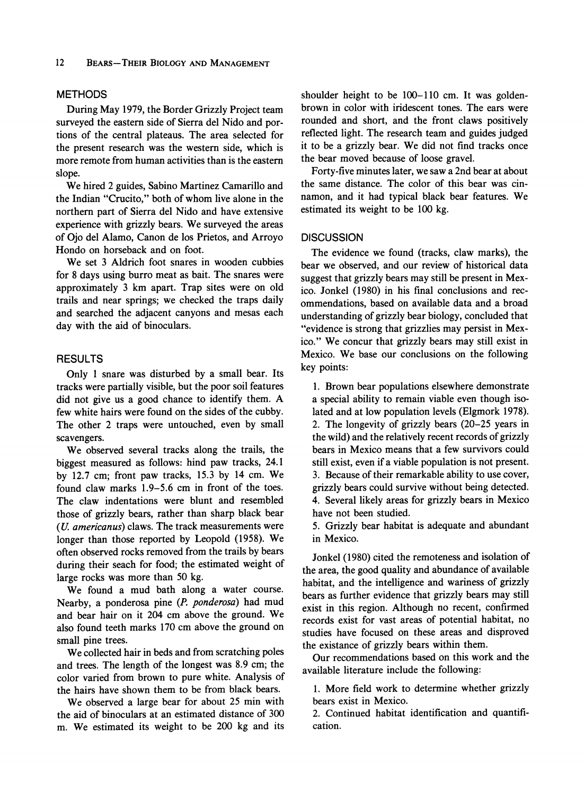#### **METHODS**

**During May 1979, the Border Grizzly Project team surveyed the eastern side of Sierra del Nido and portions of the central plateaus. The area selected for the present research was the western side, which is more remote from human activities than is the eastern slope.** 

**We hired 2 guides, Sabino Martinez Camarillo and the Indian "Crucito," both of whom live alone in the northern part of Sierra del Nido and have extensive experience with grizzly bears. We surveyed the areas of Ojo del Alamo, Canon de los Prietos, and Arroyo Hondo on horseback and on foot.** 

**We set 3 Aldrich foot snares in wooden cubbies for 8 days using burro meat as bait. The snares were approximately 3 km apart. Trap sites were on old trails and near springs; we checked the traps daily and searched the adjacent canyons and mesas each day with the aid of binoculars.** 

## **RESULTS**

**Only 1 snare was disturbed by a small bear. Its tracks were partially visible, but the poor soil features did not give us a good chance to identify them. A few white hairs were found on the sides of the cubby. The other 2 traps were untouched, even by small scavengers.** 

**We observed several tracks along the trails, the biggest measured as follows: hind paw tracks, 24.1 by 12.7 cm; front paw tracks, 15.3 by 14 cm. We found claw marks 1.9-5.6 cm in front of the toes. The claw indentations were blunt and resembled those of grizzly bears, rather than sharp black bear (U. americanus) claws. The track measurements were longer than those reported by Leopold (1958). We often observed rocks removed from the trails by bears during their seach for food; the estimated weight of large rocks was more than 50 kg.** 

**We found a mud bath along a water course. Nearby, a ponderosa pine (P. ponderosa) had mud and bear hair on it 204 cm above the ground. We also found teeth marks 170 cm above the ground on small pine trees.** 

**We collected hair in beds and from scratching poles and trees. The length of the longest was 8.9 cm; the color varied from brown to pure white. Analysis of the hairs have shown them to be from black bears.** 

**We observed a large bear for about 25 min with the aid of binoculars at an estimated distance of 300 m. We estimated its weight to be 200 kg and its**  **shoulder height to be 100-110 cm. It was goldenbrown in color with iridescent tones. The ears were rounded and short, and the front claws positively reflected light. The research team and guides judged it to be a grizzly bear. We did not find tracks once the bear moved because of loose gravel.** 

**Forty-five minutes later, we saw a 2nd bear at about the same distance. The color of this bear was cinnamon, and it had typical black bear features. We estimated its weight to be 100 kg.** 

#### **DISCUSSION**

**The evidence we found (tracks, claw marks), the bear we observed, and our review of historical data suggest that grizzly bears may still be present in Mexico. Jonkel (1980) in his final conclusions and recommendations, based on available data and a broad understanding of grizzly bear biology, concluded that "evidence is strong that grizzlies may persist in Mexico." We concur that grizzly bears may still exist in Mexico. We base our conclusions on the following key points:** 

**1. Brown bear populations elsewhere demonstrate a special ability to remain viable even though isolated and at low population levels (Elgmork 1978). 2. The longevity of grizzly bears (20-25 years in the wild) and the relatively recent records of grizzly bears in Mexico means that a few survivors could still exist, even if a viable population is not present. 3. Because of their remarkable ability to use cover, grizzly bears could survive without being detected. 4. Several likely areas for grizzly bears in Mexico have not been studied.** 

**5. Grizzly bear habitat is adequate and abundant in Mexico.** 

**Jonkel (1980) cited the remoteness and isolation of the area, the good quality and abundance of available habitat, and the intelligence and wariness of grizzly bears as further evidence that grizzly bears may still exist in this region. Although no recent, confirmed records exist for vast areas of potential habitat, no studies have focused on these areas and disproved the existance of grizzly bears within them.** 

**Our recommendations based on this work and the available literature include the following:** 

**1. More field work to determine whether grizzly bears exist in Mexico.** 

**2. Continued habitat identification and quantification.**